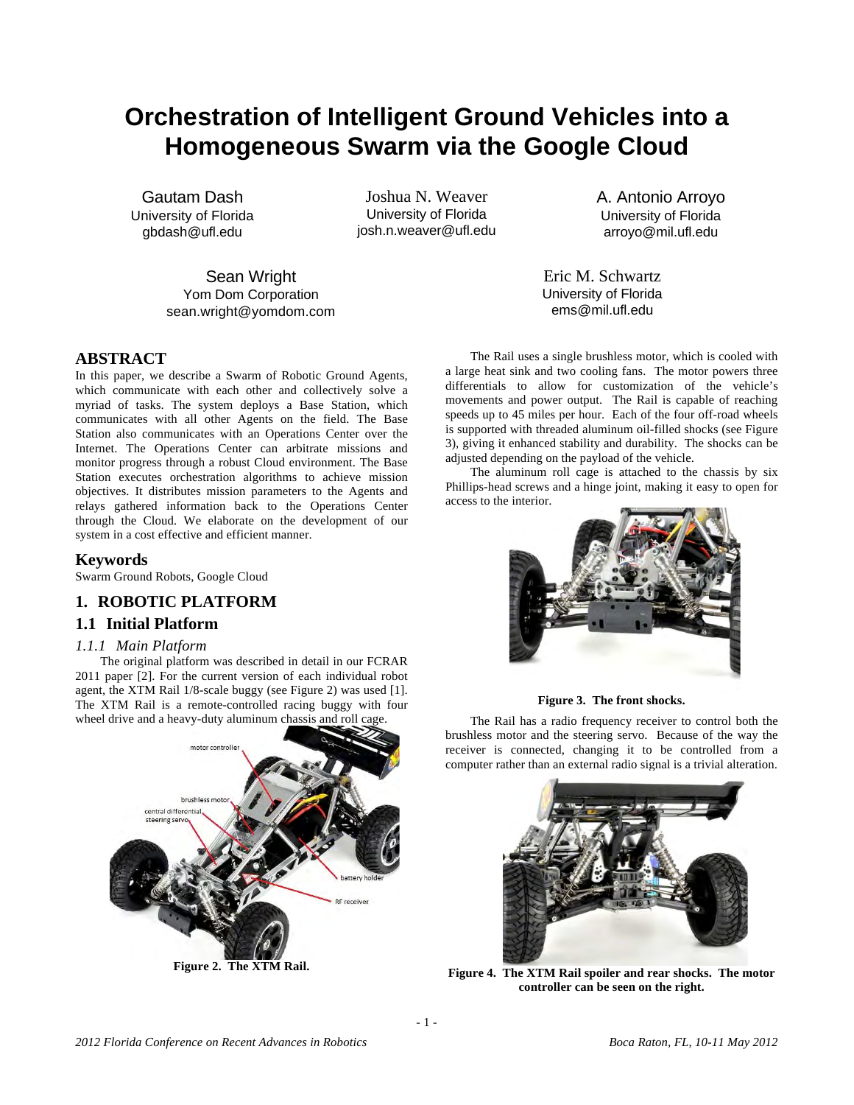# **Orchestration of Intelligent Ground Vehicles into a Homogeneous Swarm via the Google Cloud**

Gautam Dash University of Florida gbdash@ufl.edu

Joshua N. Weaver University of Florida josh.n.weaver@ufl.edu

Sean Wright Yom Dom Corporation sean.wright@yomdom.com

# **ABSTRACT**

In this paper, we describe a Swarm of Robotic Ground Agents, which communicate with each other and collectively solve a myriad of tasks. The system deploys a Base Station, which communicates with all other Agents on the field. The Base Station also communicates with an Operations Center over the Internet. The Operations Center can arbitrate missions and monitor progress through a robust Cloud environment. The Base Station executes orchestration algorithms to achieve mission objectives. It distributes mission parameters to the Agents and relays gathered information back to the Operations Center through the Cloud. We elaborate on the development of our system in a cost effective and efficient manner.

# **Keywords**

Swarm Ground Robots, Google Cloud

# **1. ROBOTIC PLATFORM**

# **1.1 Initial Platform**

# *1.1.1 Main Platform*

The original platform was described in detail in our FCRAR 2011 paper [2]. For the current version of each individual robot agent, the XTM Rail 1/8-scale buggy (see Figure 2) was used [1]. The XTM Rail is a remote-controlled racing buggy with four wheel drive and a heavy-duty aluminum chassis and roll cage.



**Figure 2. The XTM Rail.** 

A. Antonio Arroyo University of Florida arroyo@mil.ufl.edu

Eric M. Schwartz University of Florida ems@mil.ufl.edu

The Rail uses a single brushless motor, which is cooled with a large heat sink and two cooling fans. The motor powers three differentials to allow for customization of the vehicle's movements and power output. The Rail is capable of reaching speeds up to 45 miles per hour. Each of the four off-road wheels is supported with threaded aluminum oil-filled shocks (see Figure 3), giving it enhanced stability and durability. The shocks can be adjusted depending on the payload of the vehicle.

The aluminum roll cage is attached to the chassis by six Phillips-head screws and a hinge joint, making it easy to open for access to the interior.



**Figure 3. The front shocks.** 

The Rail has a radio frequency receiver to control both the brushless motor and the steering servo. Because of the way the receiver is connected, changing it to be controlled from a computer rather than an external radio signal is a trivial alteration.



**Figure 4. The XTM Rail spoiler and rear shocks. The motor controller can be seen on the right.**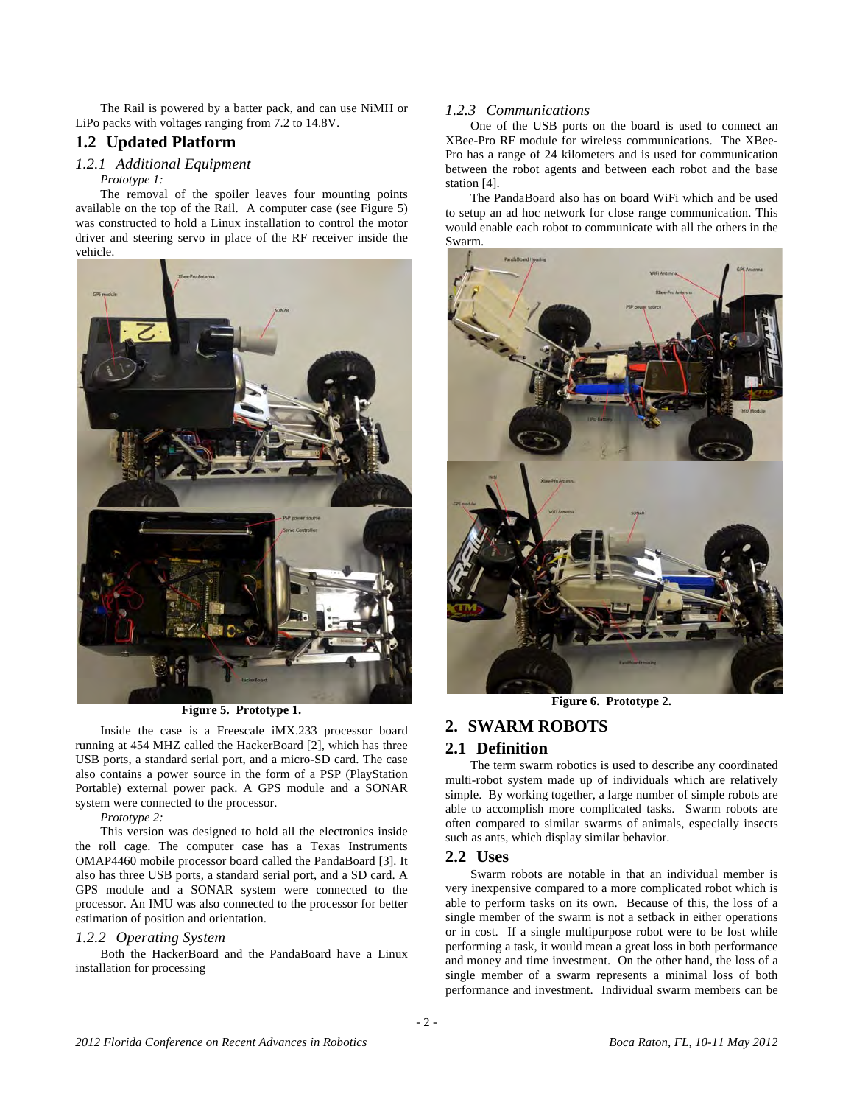The Rail is powered by a batter pack, and can use NiMH or LiPo packs with voltages ranging from 7.2 to 14.8V.

# **1.2 Updated Platform**

### *1.2.1 Additional Equipment*

#### *Prototype 1:*

The removal of the spoiler leaves four mounting points available on the top of the Rail. A computer case (see Figure 5) was constructed to hold a Linux installation to control the motor driver and steering servo in place of the RF receiver inside the vehicle.



**Figure 5. Prototype 1.** 

Inside the case is a Freescale iMX.233 processor board running at 454 MHZ called the HackerBoard [2], which has three USB ports, a standard serial port, and a micro-SD card. The case also contains a power source in the form of a PSP (PlayStation Portable) external power pack. A GPS module and a SONAR system were connected to the processor.

*Prototype 2:* 

This version was designed to hold all the electronics inside the roll cage. The computer case has a Texas Instruments OMAP4460 mobile processor board called the PandaBoard [3]. It also has three USB ports, a standard serial port, and a SD card. A GPS module and a SONAR system were connected to the processor. An IMU was also connected to the processor for better estimation of position and orientation.

#### *1.2.2 Operating System*

Both the HackerBoard and the PandaBoard have a Linux installation for processing

### *1.2.3 Communications*

One of the USB ports on the board is used to connect an XBee-Pro RF module for wireless communications. The XBee-Pro has a range of 24 kilometers and is used for communication between the robot agents and between each robot and the base station [4].

The PandaBoard also has on board WiFi which and be used to setup an ad hoc network for close range communication. This would enable each robot to communicate with all the others in the Swarm.



**Figure 6. Prototype 2.** 

# **2. SWARM ROBOTS**

### **2.1 Definition**

The term swarm robotics is used to describe any coordinated multi-robot system made up of individuals which are relatively simple. By working together, a large number of simple robots are able to accomplish more complicated tasks. Swarm robots are often compared to similar swarms of animals, especially insects such as ants, which display similar behavior.

### **2.2 Uses**

Swarm robots are notable in that an individual member is very inexpensive compared to a more complicated robot which is able to perform tasks on its own. Because of this, the loss of a single member of the swarm is not a setback in either operations or in cost. If a single multipurpose robot were to be lost while performing a task, it would mean a great loss in both performance and money and time investment. On the other hand, the loss of a single member of a swarm represents a minimal loss of both performance and investment. Individual swarm members can be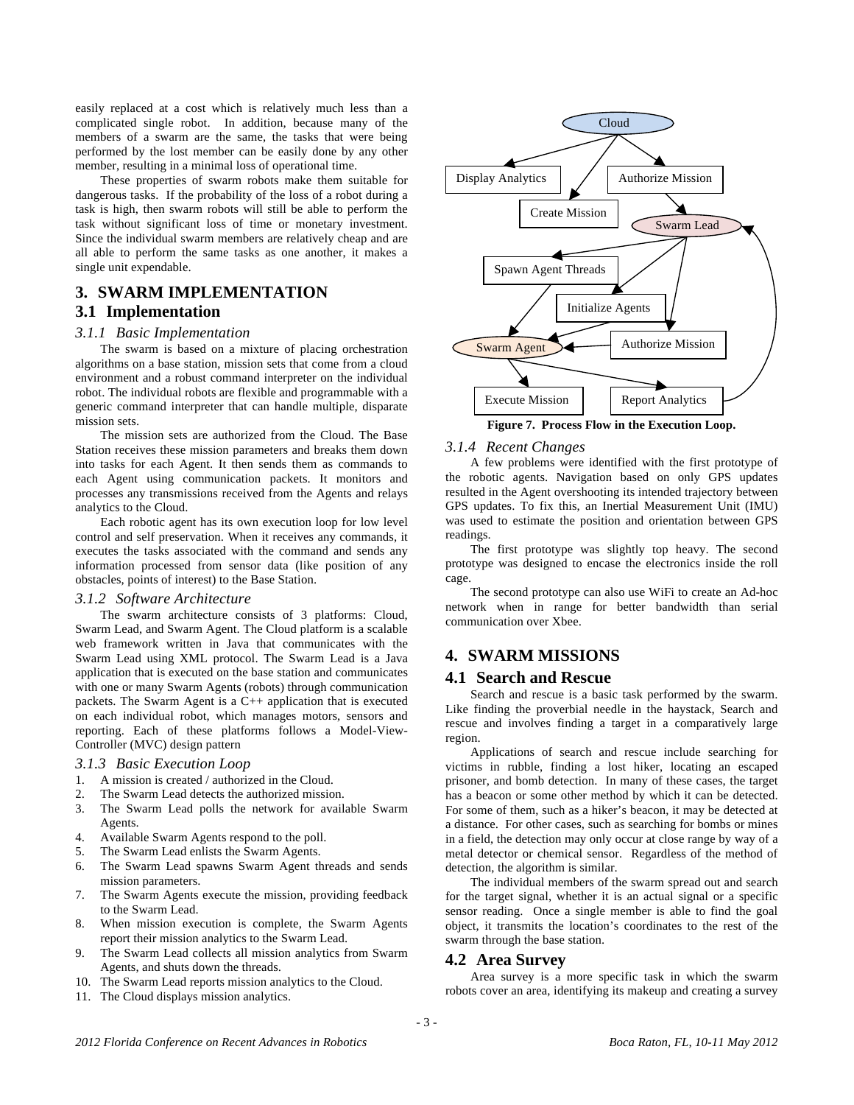easily replaced at a cost which is relatively much less than a complicated single robot. In addition, because many of the members of a swarm are the same, the tasks that were being performed by the lost member can be easily done by any other member, resulting in a minimal loss of operational time.

These properties of swarm robots make them suitable for dangerous tasks. If the probability of the loss of a robot during a task is high, then swarm robots will still be able to perform the task without significant loss of time or monetary investment. Since the individual swarm members are relatively cheap and are all able to perform the same tasks as one another, it makes a single unit expendable.

# **3. SWARM IMPLEMENTATION**

# **3.1 Implementation**

#### *3.1.1 Basic Implementation*

The swarm is based on a mixture of placing orchestration algorithms on a base station, mission sets that come from a cloud environment and a robust command interpreter on the individual robot. The individual robots are flexible and programmable with a generic command interpreter that can handle multiple, disparate mission sets.

The mission sets are authorized from the Cloud. The Base Station receives these mission parameters and breaks them down into tasks for each Agent. It then sends them as commands to each Agent using communication packets. It monitors and processes any transmissions received from the Agents and relays analytics to the Cloud.

Each robotic agent has its own execution loop for low level control and self preservation. When it receives any commands, it executes the tasks associated with the command and sends any information processed from sensor data (like position of any obstacles, points of interest) to the Base Station.

### *3.1.2 Software Architecture*

The swarm architecture consists of 3 platforms: Cloud, Swarm Lead, and Swarm Agent. The Cloud platform is a scalable web framework written in Java that communicates with the Swarm Lead using XML protocol. The Swarm Lead is a Java application that is executed on the base station and communicates with one or many Swarm Agents (robots) through communication packets. The Swarm Agent is a C++ application that is executed on each individual robot, which manages motors, sensors and reporting. Each of these platforms follows a Model-View-Controller (MVC) design pattern

#### *3.1.3 Basic Execution Loop*

- 1. A mission is created / authorized in the Cloud.
- 2. The Swarm Lead detects the authorized mission.
- 3. The Swarm Lead polls the network for available Swarm Agents.
- 4. Available Swarm Agents respond to the poll.
- 5. The Swarm Lead enlists the Swarm Agents.
- 6. The Swarm Lead spawns Swarm Agent threads and sends mission parameters.
- 7. The Swarm Agents execute the mission, providing feedback to the Swarm Lead.
- 8. When mission execution is complete, the Swarm Agents report their mission analytics to the Swarm Lead.
- 9. The Swarm Lead collects all mission analytics from Swarm Agents, and shuts down the threads.
- 10. The Swarm Lead reports mission analytics to the Cloud.
- 11. The Cloud displays mission analytics.



#### *3.1.4 Recent Changes*

A few problems were identified with the first prototype of the robotic agents. Navigation based on only GPS updates resulted in the Agent overshooting its intended trajectory between GPS updates. To fix this, an Inertial Measurement Unit (IMU) was used to estimate the position and orientation between GPS readings.

The first prototype was slightly top heavy. The second prototype was designed to encase the electronics inside the roll cage.

The second prototype can also use WiFi to create an Ad-hoc network when in range for better bandwidth than serial communication over Xbee.

# **4. SWARM MISSIONS**

# **4.1 Search and Rescue**

Search and rescue is a basic task performed by the swarm. Like finding the proverbial needle in the haystack, Search and rescue and involves finding a target in a comparatively large region.

Applications of search and rescue include searching for victims in rubble, finding a lost hiker, locating an escaped prisoner, and bomb detection. In many of these cases, the target has a beacon or some other method by which it can be detected. For some of them, such as a hiker's beacon, it may be detected at a distance. For other cases, such as searching for bombs or mines in a field, the detection may only occur at close range by way of a metal detector or chemical sensor. Regardless of the method of detection, the algorithm is similar.

The individual members of the swarm spread out and search for the target signal, whether it is an actual signal or a specific sensor reading. Once a single member is able to find the goal object, it transmits the location's coordinates to the rest of the swarm through the base station.

### **4.2 Area Survey**

Area survey is a more specific task in which the swarm robots cover an area, identifying its makeup and creating a survey